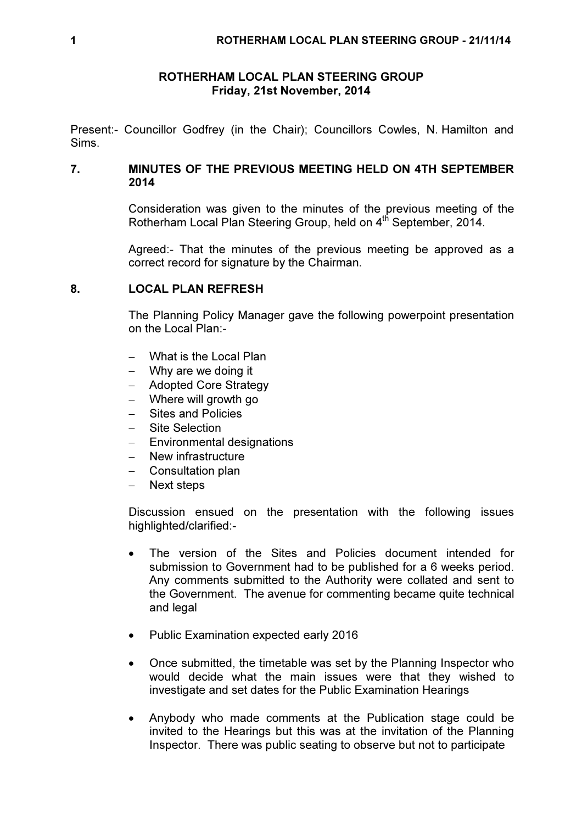## ROTHERHAM LOCAL PLAN STEERING GROUP Friday, 21st November, 2014

Present:- Councillor Godfrey (in the Chair); Councillors Cowles, N. Hamilton and Sims.

## 7. MINUTES OF THE PREVIOUS MEETING HELD ON 4TH SEPTEMBER 2014

Consideration was given to the minutes of the previous meeting of the Rotherham Local Plan Steering Group, held on 4<sup>th</sup> September, 2014.

Agreed:- That the minutes of the previous meeting be approved as a correct record for signature by the Chairman.

## 8. LOCAL PLAN REFRESH

The Planning Policy Manager gave the following powerpoint presentation on the Local Plan:-

- − What is the Local Plan
- − Why are we doing it
- − Adopted Core Strategy
- − Where will growth go
- − Sites and Policies
- − Site Selection
- − Environmental designations
- − New infrastructure
- − Consultation plan
- − Next steps

Discussion ensued on the presentation with the following issues highlighted/clarified:-

- The version of the Sites and Policies document intended for submission to Government had to be published for a 6 weeks period. Any comments submitted to the Authority were collated and sent to the Government. The avenue for commenting became quite technical and legal
- Public Examination expected early 2016
- Once submitted, the timetable was set by the Planning Inspector who would decide what the main issues were that they wished to investigate and set dates for the Public Examination Hearings
- Anybody who made comments at the Publication stage could be invited to the Hearings but this was at the invitation of the Planning Inspector. There was public seating to observe but not to participate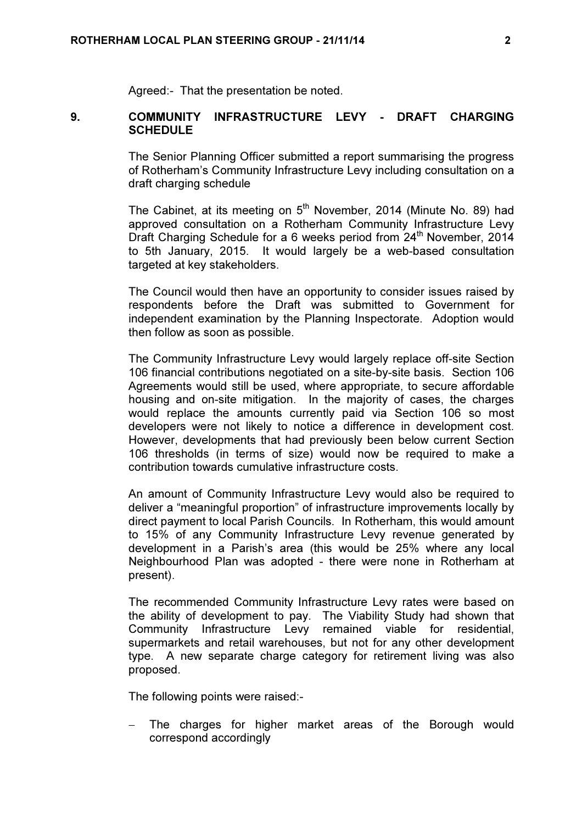Agreed:- That the presentation be noted.

## 9. COMMUNITY INFRASTRUCTURE LEVY - DRAFT CHARGING **SCHEDULE**

The Senior Planning Officer submitted a report summarising the progress of Rotherham's Community Infrastructure Levy including consultation on a draft charging schedule

The Cabinet, at its meeting on 5<sup>th</sup> November, 2014 (Minute No. 89) had approved consultation on a Rotherham Community Infrastructure Levy Draft Charging Schedule for a 6 weeks period from 24<sup>th</sup> November, 2014 to 5th January, 2015. It would largely be a web-based consultation targeted at key stakeholders.

The Council would then have an opportunity to consider issues raised by respondents before the Draft was submitted to Government for independent examination by the Planning Inspectorate. Adoption would then follow as soon as possible.

The Community Infrastructure Levy would largely replace off-site Section 106 financial contributions negotiated on a site-by-site basis. Section 106 Agreements would still be used, where appropriate, to secure affordable housing and on-site mitigation. In the majority of cases, the charges would replace the amounts currently paid via Section 106 so most developers were not likely to notice a difference in development cost. However, developments that had previously been below current Section 106 thresholds (in terms of size) would now be required to make a contribution towards cumulative infrastructure costs.

An amount of Community Infrastructure Levy would also be required to deliver a "meaningful proportion" of infrastructure improvements locally by direct payment to local Parish Councils. In Rotherham, this would amount to 15% of any Community Infrastructure Levy revenue generated by development in a Parish's area (this would be 25% where any local Neighbourhood Plan was adopted - there were none in Rotherham at present).

The recommended Community Infrastructure Levy rates were based on the ability of development to pay. The Viability Study had shown that Community Infrastructure Levy remained viable for residential, supermarkets and retail warehouses, but not for any other development type. A new separate charge category for retirement living was also proposed.

The following points were raised:-

The charges for higher market areas of the Borough would correspond accordingly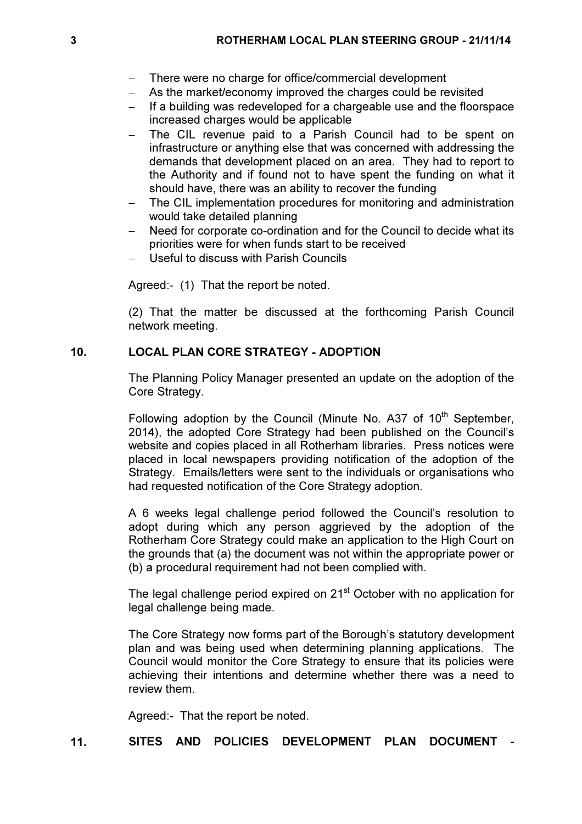- − There were no charge for office/commercial development
- − As the market/economy improved the charges could be revisited
- − If a building was redeveloped for a chargeable use and the floorspace increased charges would be applicable
- − The CIL revenue paid to a Parish Council had to be spent on infrastructure or anything else that was concerned with addressing the demands that development placed on an area. They had to report to the Authority and if found not to have spent the funding on what it should have, there was an ability to recover the funding
- The CIL implementation procedures for monitoring and administration would take detailed planning
- Need for corporate co-ordination and for the Council to decide what its priorities were for when funds start to be received
- − Useful to discuss with Parish Councils

Agreed:- (1) That the report be noted.

(2) That the matter be discussed at the forthcoming Parish Council network meeting.

# 10. LOCAL PLAN CORE STRATEGY - ADOPTION

The Planning Policy Manager presented an update on the adoption of the Core Strategy.

Following adoption by the Council (Minute No. A37 of  $10<sup>th</sup>$  September, 2014), the adopted Core Strategy had been published on the Council's website and copies placed in all Rotherham libraries. Press notices were placed in local newspapers providing notification of the adoption of the Strategy. Emails/letters were sent to the individuals or organisations who had requested notification of the Core Strategy adoption.

A 6 weeks legal challenge period followed the Council's resolution to adopt during which any person aggrieved by the adoption of the Rotherham Core Strategy could make an application to the High Court on the grounds that (a) the document was not within the appropriate power or (b) a procedural requirement had not been complied with.

The legal challenge period expired on 21<sup>st</sup> October with no application for legal challenge being made.

The Core Strategy now forms part of the Borough's statutory development plan and was being used when determining planning applications. The Council would monitor the Core Strategy to ensure that its policies were achieving their intentions and determine whether there was a need to review them.

Agreed:- That the report be noted.

11. SITES AND POLICIES DEVELOPMENT PLAN DOCUMENT -